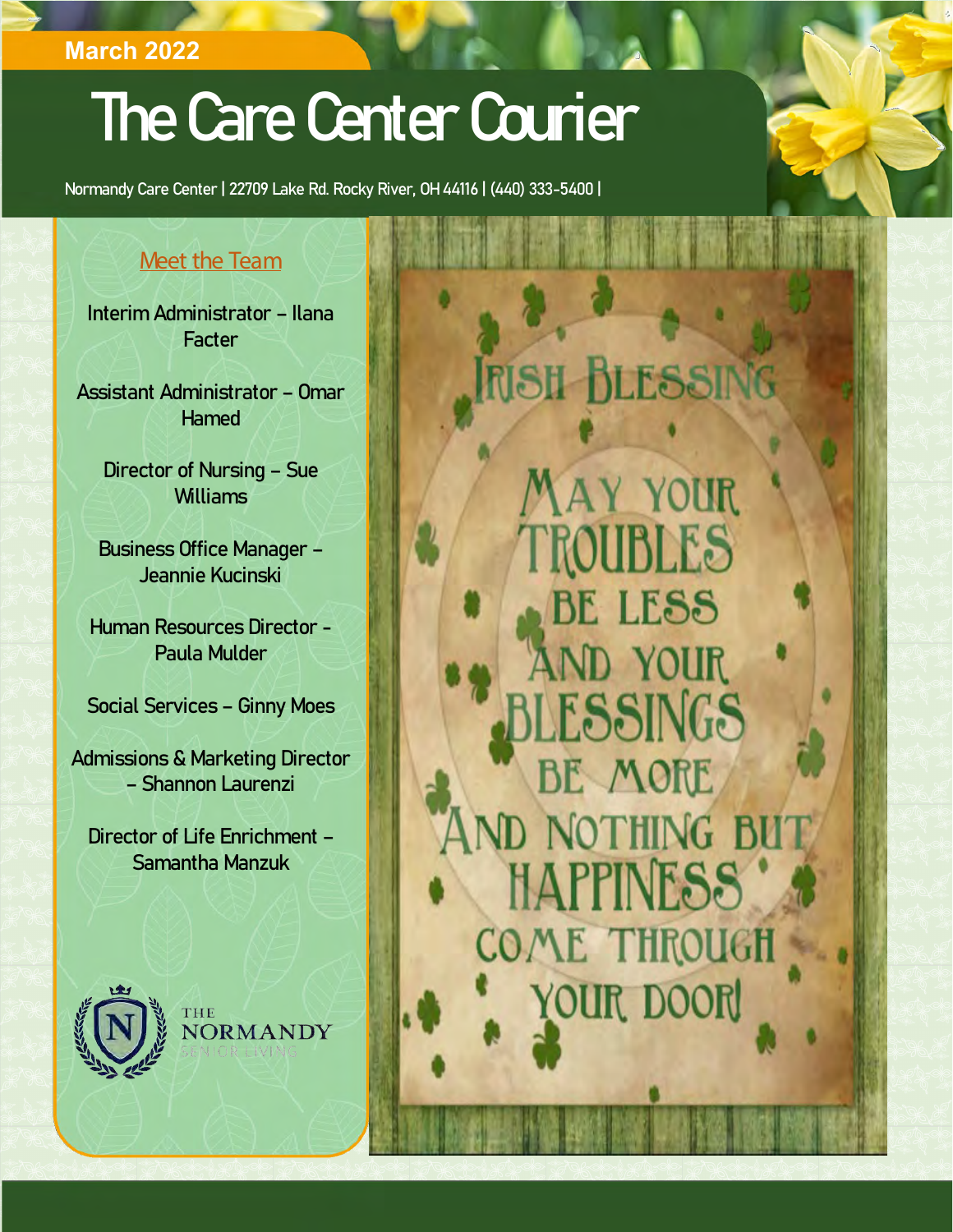## **March 2022**

# The Care Center Courier

Normandy Care Center | 22709 Lake Rd. Rocky River, OH 44116 | (440) 333-5400 |

### Meet the Team

Interim Administrator – Ilana **Facter** 

Assistant Administrator – Omar Hamed

Director of Nursing – Sue Williams

Business Office Manager – Jeannie Kucinski

Human Resources Director - Paula Mulder

Social Services – Ginny Moes

Admissions & Marketing Director – Shannon Laurenzi

Director of Life Enrichment – Samantha Manzuk



NORMANDY

BLESSIN **MAY YOUR** UBLES LESS D YOUR ESSINGS E MORE D NOTHING BU **HAPPINESS** COME THROUGH YOUR DOOR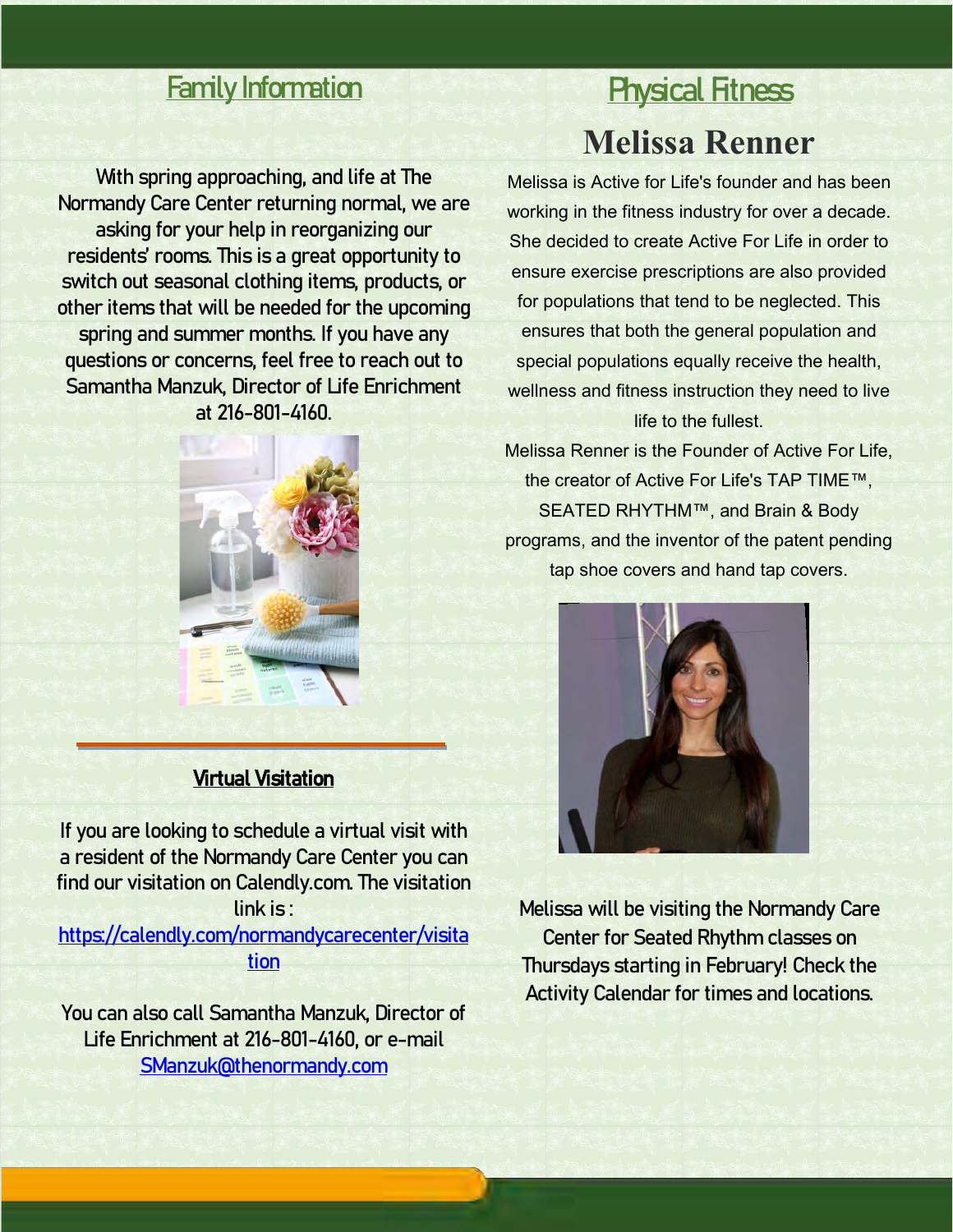## Family Information

With spring approaching, and life at The Normandy Care Center returning normal, we are asking for your help in reorganizing our residents' rooms. This is a great opportunity to switch out seasonal clothing items, products, or other items that will be needed for the upcoming spring and summer months. If you have any questions or concerns, feel free to reach out to Samantha Manzuk, Director of Life Enrichment at 216-801-4160.



### Virtual Visitation

If you are looking to schedule a virtual visit with a resident of the Normandy Care Center you can find our visitation on Calendly.com. The visitation link is :

[https://calendly.com/normandycarecenter/visita](https://calendly.com/normandycarecenter/visitation) [tion](https://calendly.com/normandycarecenter/visitation)

You can also call Samantha Manzuk, Director of Life Enrichment at 216-801-4160, or e-mail [SManzuk@thenormandy.com](mailto:SManzuk@thenormandy.com)

## **Physical Fitness Melissa Renner**

Melissa is Active for Life's founder and has been working in the fitness industry for over a decade. She decided to create Active For Life in order to ensure exercise prescriptions are also provided for populations that tend to be neglected. This ensures that both the general population and special populations equally receive the health, wellness and fitness instruction they need to live life to the fullest.

Melissa Renner is the Founder of Active For Life, the creator of Active For Life's TAP TIME™, SEATED RHYTHM™, and Brain & Body programs, and the inventor of the patent pending tap shoe covers and hand tap covers.



Melissa will be visiting the Normandy Care Center for Seated Rhythm classes on Thursdays starting in February! Check the Activity Calendar for times and locations.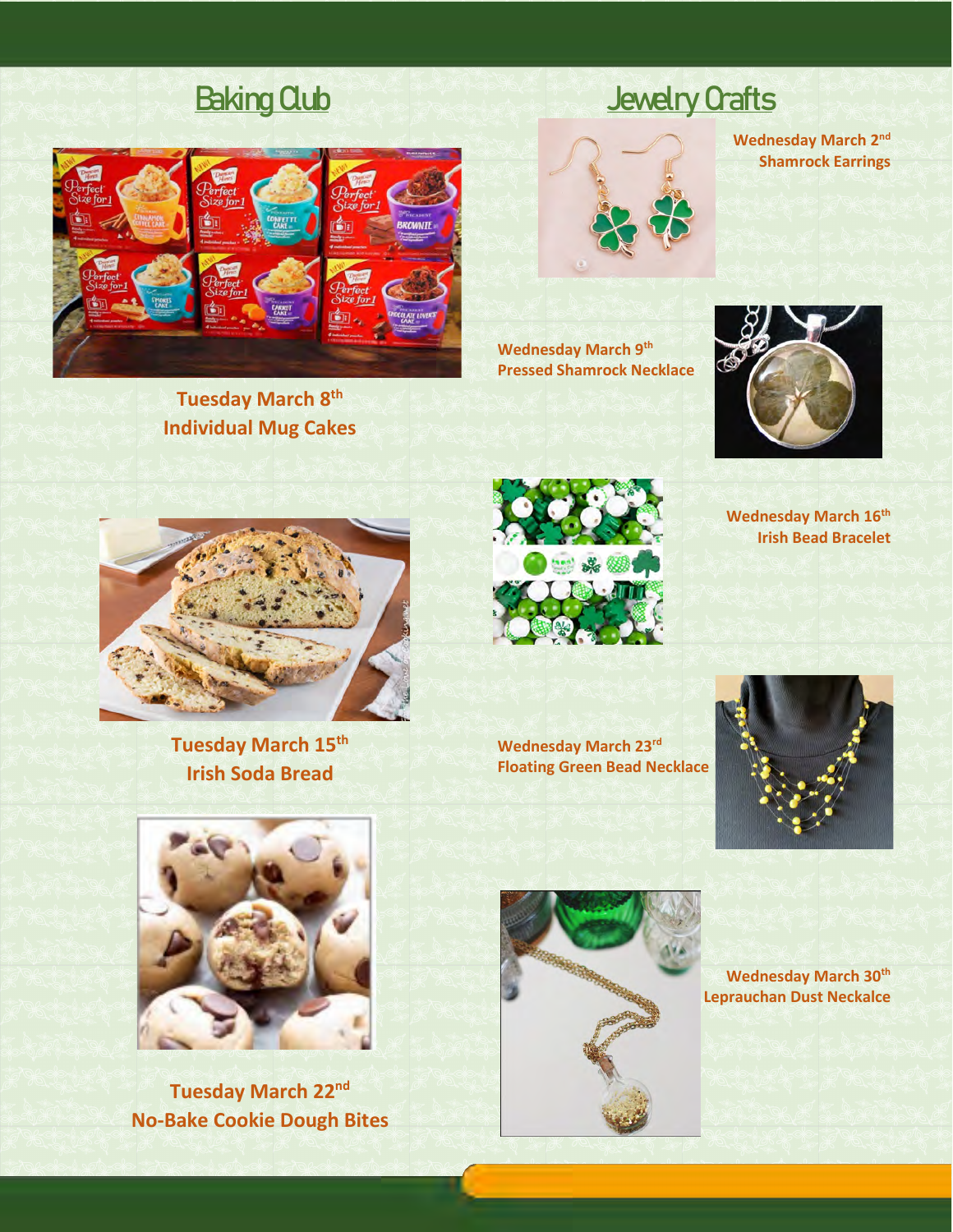

**Tuesday March 8th Individual Mug Cakes**

## Baking Qub



**Wednesday March 9th Pressed Shamrock Necklace**



**Wednesday March 2nd Shamrock Earrings**

**Wednesday March 16th Irish Bead Bracelet**



**Tuesday March 15th Irish Soda Bread**



**Wednesday March 23rd Floating Green Bead Necklace**





**Tuesday March 22nd No-Bake Cookie Dough Bites**



**Wednesday March 30th Leprauchan Dust Neckalce**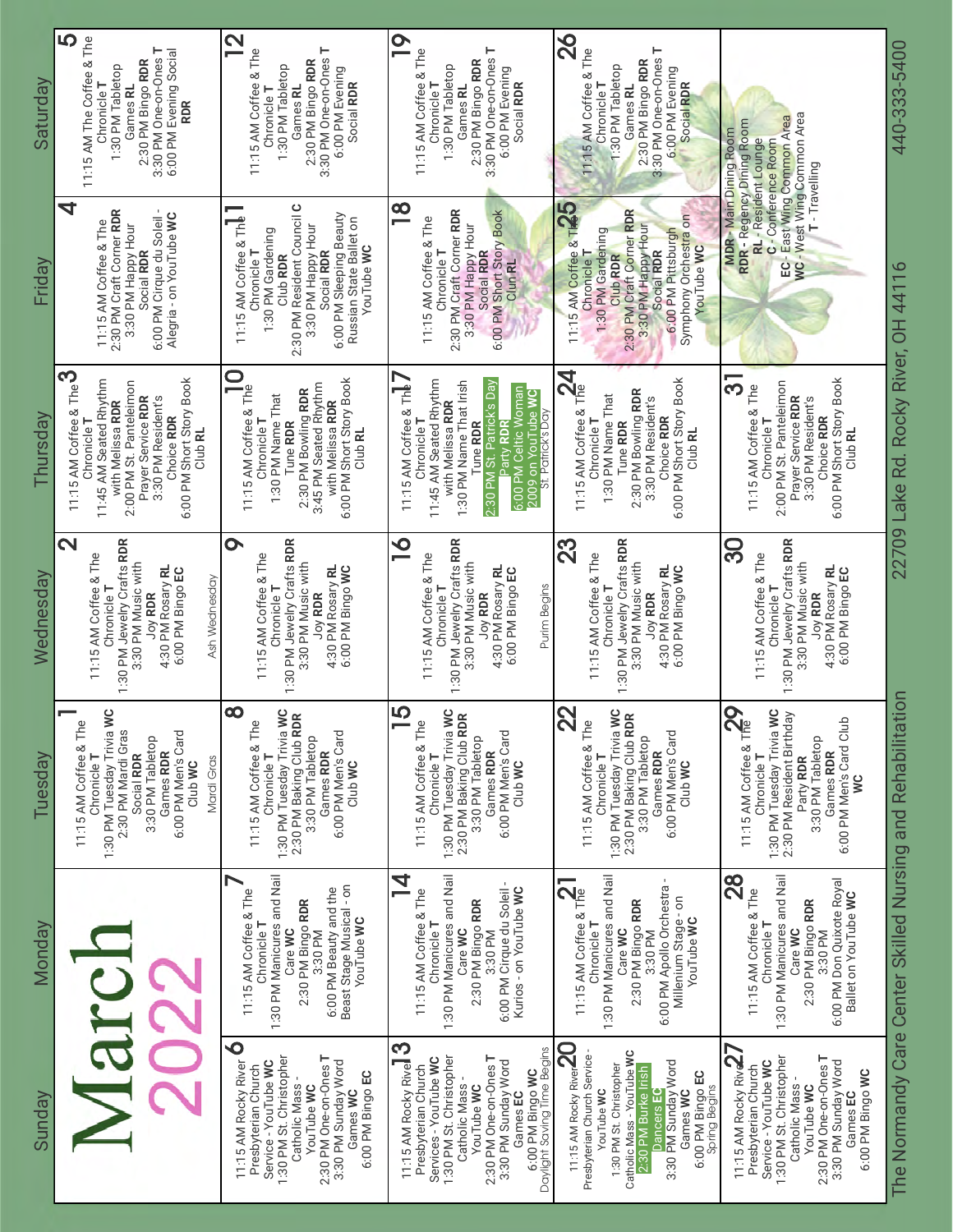| Saturday  | <b>5</b><br>11:15 AM The Coffee & The<br>3:30 PM One-on-Ones T<br>6:00 PM Evening Social<br>2:30 PM Bingo RDR<br>1:30 PM Tabletop<br>Chronicle T<br>Games RL<br><b>RDR</b>                                         | $\overline{\mathbf{2}}$<br>3:30 PM One-on-Ones T<br>11:15 AM Coffee & The<br>2:30 PM Bingo RDR<br>1:30 PM Tabletop<br>6:00 PM Evening<br>Social RDR<br>Games RL<br>Chronicle T                                                         | O<br>3:30 PM One-on-Ones T<br>11:15 AM Coffee & The<br>2:30 PM Bingo RDR<br>1:30 PM Tabletop<br>6:00 PM Evening<br>Social RDR<br>Chronicle T<br>Games RL                                                                                          | 82<br>3:30 PM One-on-Ones T<br>11:15 AM Coffee & The<br>2:30 PM Bingo RDR<br>1:30 PM Tabletop<br>6:00 PM Evening<br>Chronicle T<br>Social RDR<br>Games RL                                                                                                  | <b>NC</b> - West Wing Common Area<br>EC - East Wing Common Area<br><b>MDR - Main Dining Room</b><br>RDR - Regency Dining Room<br>RL - Resident Lounge<br>C - Conference Room<br>T-Travelling                 | 440-333-5400                                             |
|-----------|--------------------------------------------------------------------------------------------------------------------------------------------------------------------------------------------------------------------|----------------------------------------------------------------------------------------------------------------------------------------------------------------------------------------------------------------------------------------|---------------------------------------------------------------------------------------------------------------------------------------------------------------------------------------------------------------------------------------------------|------------------------------------------------------------------------------------------------------------------------------------------------------------------------------------------------------------------------------------------------------------|--------------------------------------------------------------------------------------------------------------------------------------------------------------------------------------------------------------|----------------------------------------------------------|
| Friday    | 4<br>2:30 PM Craft Corner RDR<br>Alegria - on YouTube WC<br>6:00 PM Cirque du Soleil<br>11:15 AM Coffee & The<br>3:30 PM Happy Hour<br>Social RDR                                                                  | 2:30 PM Resident Council C<br>6:00 PM Sleeping Beauty<br>11:15 AM Coffee & The<br>Russian State Ballet on<br>3:30 PM Happy Hour<br>1:30 PM Gardening<br>YouTube WC<br>Chronicle T<br>Social RDR<br>Club RDR                            | $\infty$<br>2:30 PM Craft Corner RDR<br>6:00 PM Short Story Book<br>11:15 AM Coffee & The<br>3:30 PM Happy Hour<br>Chronicle T<br>Social RDR<br>Clun RL                                                                                           | 25<br>2:30 PM Craft Corner RDR<br>Symphony Orchestra on<br>3:30 PM Happy Hour<br>6:00 PM Pittsburgh<br>11:15 AM Coffee & Th<br>1:30 PM Gardening<br>YouTube WC<br>Social RDR<br>Chronicle T<br>Club RDR                                                    |                                                                                                                                                                                                              |                                                          |
| Thursday  | 11:15 AM Coffee & The $3$<br>6:00 PM Short Story Book<br>11:45 AM Seated Rhythm<br>2:00 PM St. Panteleimon<br>Prayer Service RDR<br>3:30 PM Resident's<br>with Melissa RDR<br>Choice RDR<br>Chronicle T<br>Club RL | $\mathbf \Omega$<br>6:00 PM Short Story Book<br>3:45 PM Seated Rhythm<br>11:15 AM Coffee & The<br>2:30 PM Bowling RDR<br>1:30 PM Name That<br>with Melissa RDR<br>Chronicle T<br>Tune RDR<br>Club RL                                   | 11:45 AM Seated Rhythm<br>1:30 PM Name That Irish<br>2:30 PM St. Patrick's Day<br>11:15 AM Coffee & The<br>6:00 PM Celtic Woman<br>2009 on YouTube WC<br>with Melissa RDR<br>St. Patrick's Day<br>Chronicle T<br>Tune RDR<br>arty RDR             | 11:15 AM Coffee & The<br>6:00 PM Short Story Book<br>2:30 PM Bowling RDR<br>1:30 PM Name That<br>3:30 PM Resident's<br>Choice RDR<br>Chronicle T<br>Tune RDR<br>Club RL                                                                                    | <u> က</u><br>6:00 PM Short Story Book<br>2:00 PM St. Panteleimon<br>11:15 AM Coffee & The<br>Prayer Service RDR<br>3:30 PM Resident's<br>Choice RDR<br>Chronicle T<br>Club RL                                | 22709 Lake Rd. Rocky River, OH 44116                     |
| Wednesday | $\overline{\mathbf{C}}$<br>1:30 PM Jewelry Crafts RDR<br>11:15 AM Coffee & The<br>3:30 PM Music with<br>4:30 PM Rosary RL<br>6:00 PM Bingo EC<br>Ash Wednesday<br>Chronicle T<br>Joy RDR                           | $\bullet$<br>1:30 PM Jewelry Crafts RDR<br>11:15 AM Coffee & The<br>3:30 PM Music with<br>4:30 PM Rosary RL<br>6:00 PM Bingo WC<br>Chronicle T<br><b>Joy RDR</b>                                                                       | $\bullet$<br>1:30 PM Jewelry Crafts RDR<br>11:15 AM Coffee & The<br>3:30 PM Music with<br>4:30 PM Rosary RL<br>6:00 PM Bingo EC<br>Chronicle T<br>Purim Begins<br>Joy RDR                                                                         | 1:30 PM Jewelry Crafts RDR<br>23<br>11:15 AM Coffee & The<br>3:30 PM Music with<br>4:30 PM Rosary RL<br>6:00 PM Bingo WC<br>Chronicle T<br>Joy RDR                                                                                                         | 1:30 PM Jewelry Crafts RDR<br>ဌ<br>11:15 AM Coffee & The<br>3:30 PM Music with<br>4:30 PM Rosary RL<br>6:00 PM Bingo EC<br>Chronicle T<br><b>Joy RDR</b>                                                     |                                                          |
| Tuesday   | $\circ$<br>1:30 PM Tuesday Trivia W<br>11:15 AM Coffee & The<br>2:30 PM Mardi Gras<br>6:00 PM Men's Card<br>3:30 PM Tabletop<br>Games RDR<br>Social RDR<br>Chronicle T<br>Mardi Gras<br>Club WC                    | $\infty$<br>1:30 PM Tuesday Trivia WC<br>2:30 PM Baking Club RDR<br>11:15 AM Coffee & The<br>6:00 PM Men's Card<br>3:30 PM Tabletop<br>Games RDR<br>Chronicle T<br>Club WC                                                             | <b>LO</b><br>1:30 PM Tuesday Trivia WC<br>2:30 PM Baking Club RDR<br>11:15 AM Coffee & The<br>6:00 PM Men's Card<br>3:30 PM Tabletop<br>Games RDR<br>Chronicle T<br>Club WC                                                                       | 22<br>1:30 PM Tuesday Trivia WC<br>11:15 AM Coffee & The<br>2:30 PM Baking Club RDR<br>6:00 PM Men's Card<br>3:30 PM Tabletop<br>Games RDR<br>Chronicle T<br>Club WC                                                                                       | 11:15 AM Coffee & The<br>1:30 PM Tuesday Trivia WC<br>2:30 PM Resident Birthday<br>6:00 PM Men's Card Club<br>3:30 PM Tabletop<br>Games RDR<br>Chronicle T<br>Party RDR<br>w                                 | $\overline{5}$                                           |
| Monday    |                                                                                                                                                                                                                    | 1:30 PM Manicures and Nail<br>Beast Stage Musical - on<br>6:00 PM Beauty and the<br>11:15 AM Coffee & The<br>2:30 PM Bingo RDR<br>YouTube WC<br>Chronicle T<br>3:30 PM<br>Care WC                                                      | 1:30 PM Manicures and Nail<br>4<br>Kurios - on YouTube WC<br>11:15 AM Coffee & The<br>6:00 PM Cirque du Soleil<br>2:30 PM Bingo RDR<br>Chronicle T<br>Care WC<br>3:30 PM                                                                          | 1:30 PM Manicures and Nail<br>11:15 AM Coffee & The<br>6:00 PM Apollo Orchestra<br>Millenium Stage-on<br>2:30 PM Bingo RDR<br>YouTube WC<br>Chronicle T<br>Care WC<br>3:30 PM                                                                              | $\frac{8}{2}$<br>1:30 PM Manicures and Nail<br>6:00 PM Don Quixote Royal<br>11:15 AM Coffee & The<br>Ballet on YouTube WC<br>2:30 PM Bingo RDR<br>Chronicle T<br>Care WC<br>3:30 PM                          | The Normandy Care Center Skilled Nursing and Rehabilitat |
| Sunday    |                                                                                                                                                                                                                    | $\mathbf{\mathsf{O}}$<br>1:30 PM St. Christopher<br>2:30 PM One-on-Ones T<br>3:30 PM Sunday Word<br>11:15 AM Rocky River<br>Service - YouTube WC<br>Presbyterian Church<br>6:00 PM Bingo EC<br>Catholic Mass<br>YouTube WC<br>Games WC | 11:15 AM Rocky River $3$<br>6:00 PM Bingo WC<br>Daylight Saving Time Begins<br>1:30 PM St. Christopher<br>2:30 PM One-on-Ones T<br>Services - YouTube WC<br>3:30 PM Sunday Word<br>Presbyterian Church<br>Catholic Mass<br>YouTube WC<br>Games EC | 11:15 AM Rocky River $20$ shvari<br>Catholic Mass - YouTube WC<br>Presbyterian Church Service<br>3:30 PM Sunday Word<br>1:30 PM St. Christopher<br>2:30 PM Burke Irish<br>6:00 PM Bingo EC<br>Spring Begins<br>YouTube WC<br>Games WC<br><b>Dancers</b> EC | 11:15 AM Rocky Rive<br>1:30 PM St. Christopher<br>2:30 PM One-on-Ones T<br>3:30 PM Sunday Word<br>Service - YouTube WC<br>Presbyterian Church<br>6:00 PM Bingo WC<br>Catholic Mass<br>YouTube WC<br>Games EC |                                                          |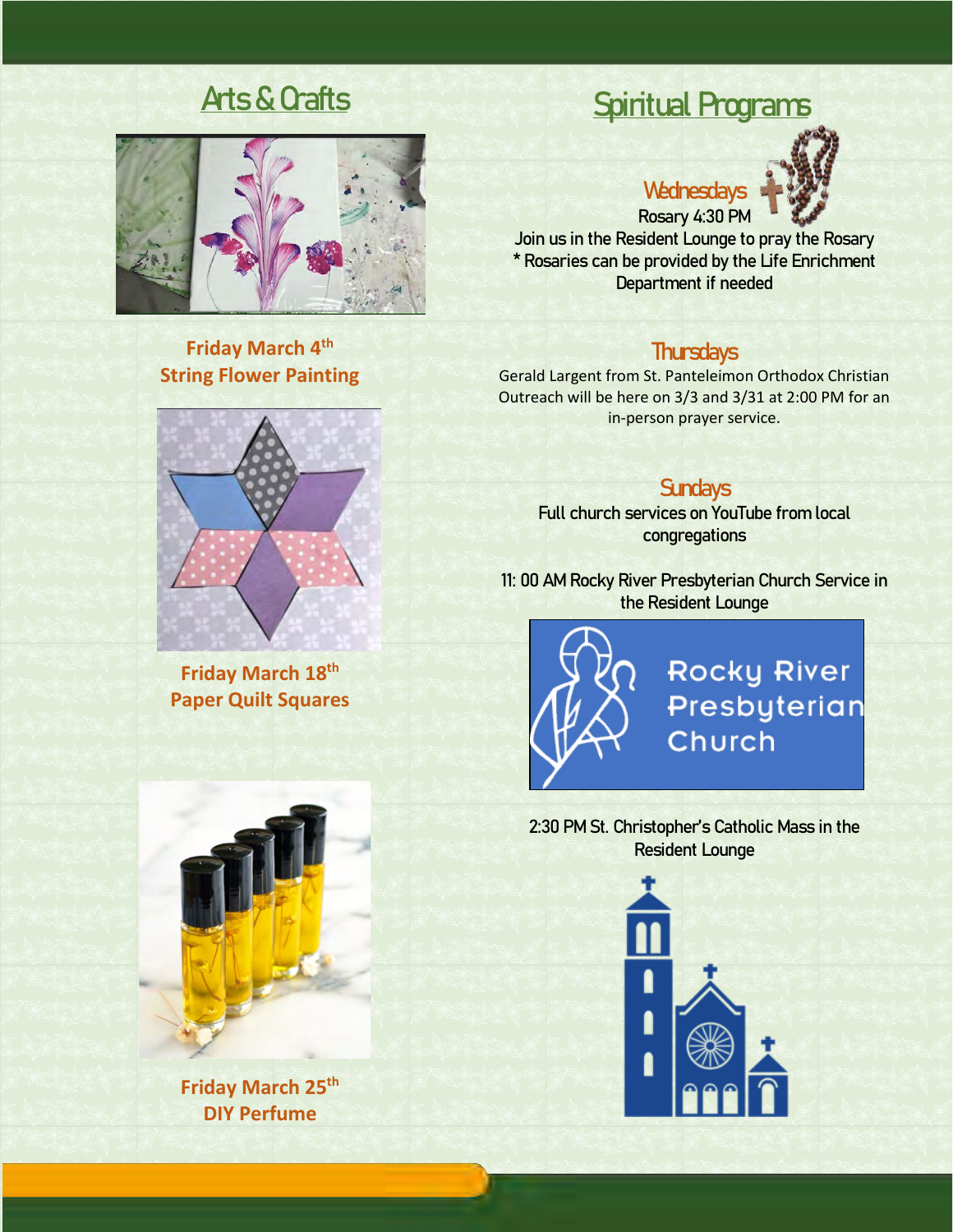

**Friday March 4th String Flower Painting**

**Friday March 18th Paper Quilt Squares**



**Friday March 25th DIY Perfume**

## Arts & Crafts Spiritual Programs

## **Wednesdays**



Rosary 4:30 PM Join us in the Resident Lounge to pray the Rosary \* Rosaries can be provided by the Life Enrichment Department if needed

### **Thursdays**

Gerald Largent from St. Panteleimon Orthodox Christian Outreach will be here on 3/3 and 3/31 at 2:00 PM for an in-person prayer service.

## **Sundays**

Full church services on YouTube from local congregations

11: 00 AM Rocky River Presbyterian Church Service in the Resident Lounge



2:30 PM St. Christopher's Catholic Mass in the Resident Lounge